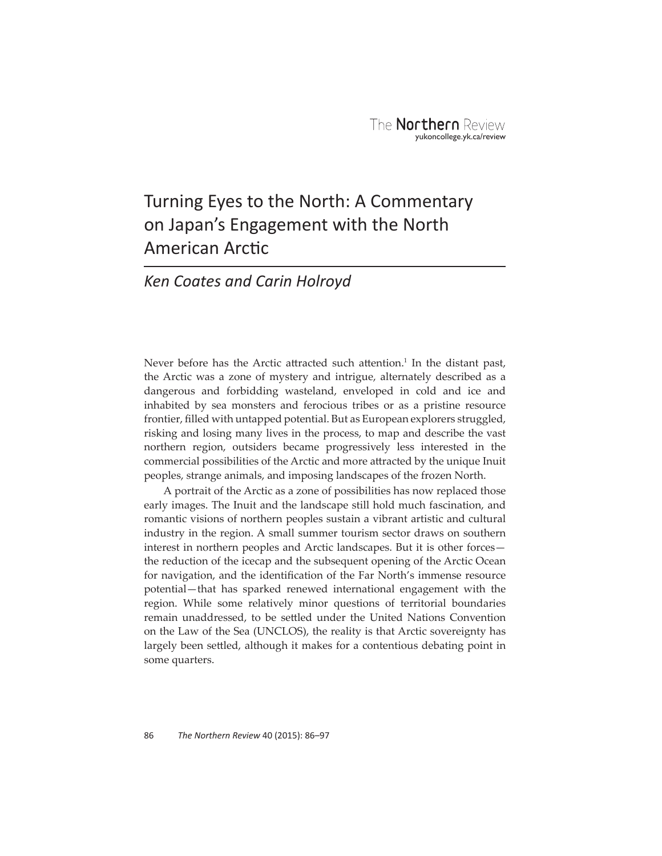# Turning Eyes to the North: A Commentary on Japan's Engagement with the North American Arctic

# *Ken Coates and Carin Holroyd*

Never before has the Arctic attracted such attention. $<sup>1</sup>$  In the distant past,</sup> the Arctic was a zone of mystery and intrigue, alternately described as a dangerous and forbidding wasteland, enveloped in cold and ice and inhabited by sea monsters and ferocious tribes or as a pristine resource frontier, filled with untapped potential. But as European explorers struggled, risking and losing many lives in the process, to map and describe the vast northern region, outsiders became progressively less interested in the commercial possibilities of the Arctic and more attracted by the unique Inuit peoples, strange animals, and imposing landscapes of the frozen North.

A portrait of the Arctic as a zone of possibilities has now replaced those early images. The Inuit and the landscape still hold much fascination, and romantic visions of northern peoples sustain a vibrant artistic and cultural industry in the region. A small summer tourism sector draws on southern interest in northern peoples and Arctic landscapes. But it is other forces the reduction of the icecap and the subsequent opening of the Arctic Ocean for navigation, and the identification of the Far North's immense resource potential—that has sparked renewed international engagement with the region. While some relatively minor questions of territorial boundaries remain unaddressed, to be settled under the United Nations Convention on the Law of the Sea (UNCLOS), the reality is that Arctic sovereignty has largely been settled, although it makes for a contentious debating point in some quarters.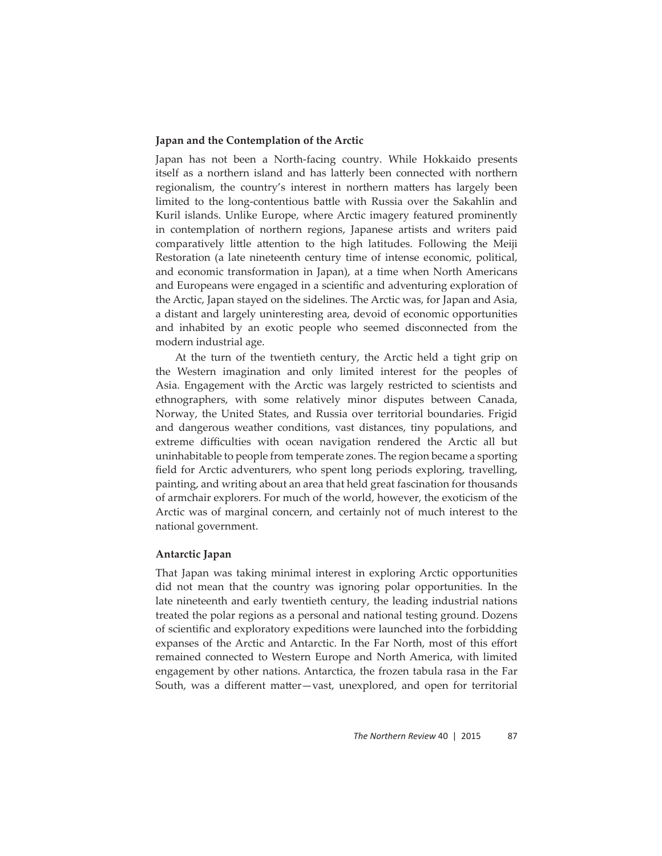# **Japan and the Contemplation of the Arctic**

Japan has not been a North-facing country. While Hokkaido presents itself as a northern island and has latterly been connected with northern regionalism, the country's interest in northern matters has largely been limited to the long-contentious battle with Russia over the Sakahlin and Kuril islands. Unlike Europe, where Arctic imagery featured prominently in contemplation of northern regions, Japanese artists and writers paid comparatively little attention to the high latitudes. Following the Meiji Restoration (a late nineteenth century time of intense economic, political, and economic transformation in Japan), at a time when North Americans and Europeans were engaged in a scientific and adventuring exploration of the Arctic, Japan stayed on the sidelines. The Arctic was, for Japan and Asia, a distant and largely uninteresting area, devoid of economic opportunities and inhabited by an exotic people who seemed disconnected from the modern industrial age.

At the turn of the twentieth century, the Arctic held a tight grip on the Western imagination and only limited interest for the peoples of Asia. Engagement with the Arctic was largely restricted to scientists and ethnographers, with some relatively minor disputes between Canada, Norway, the United States, and Russia over territorial boundaries. Frigid and dangerous weather conditions, vast distances, tiny populations, and extreme difficulties with ocean navigation rendered the Arctic all but uninhabitable to people from temperate zones. The region became a sporting field for Arctic adventurers, who spent long periods exploring, travelling, painting, and writing about an area that held great fascination for thousands of armchair explorers. For much of the world, however, the exoticism of the Arctic was of marginal concern, and certainly not of much interest to the national government.

#### **Antarctic Japan**

That Japan was taking minimal interest in exploring Arctic opportunities did not mean that the country was ignoring polar opportunities. In the late nineteenth and early twentieth century, the leading industrial nations treated the polar regions as a personal and national testing ground. Dozens of scientific and exploratory expeditions were launched into the forbidding expanses of the Arctic and Antarctic. In the Far North, most of this effort remained connected to Western Europe and North America, with limited engagement by other nations. Antarctica, the frozen tabula rasa in the Far South, was a different matter-vast, unexplored, and open for territorial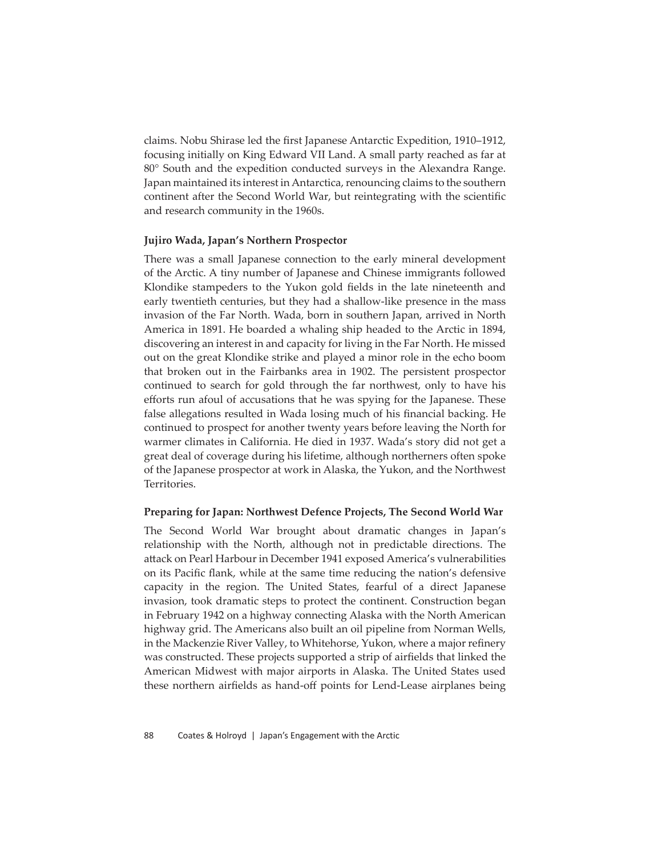claims. Nobu Shirase led the first Japanese Antarctic Expedition, 1910–1912, focusing initially on King Edward VII Land. A small party reached as far at 80° South and the expedition conducted surveys in the Alexandra Range. Japan maintained its interest in Antarctica, renouncing claims to the southern continent after the Second World War, but reintegrating with the scientific and research community in the 1960s.

#### **Jujiro Wada, Japan's Northern Prospector**

There was a small Japanese connection to the early mineral development of the Arctic. A tiny number of Japanese and Chinese immigrants followed Klondike stampeders to the Yukon gold fields in the late nineteenth and early twentieth centuries, but they had a shallow-like presence in the mass invasion of the Far North. Wada, born in southern Japan, arrived in North America in 1891. He boarded a whaling ship headed to the Arctic in 1894, discovering an interest in and capacity for living in the Far North. He missed out on the great Klondike strike and played a minor role in the echo boom that broken out in the Fairbanks area in 1902. The persistent prospector continued to search for gold through the far northwest, only to have his efforts run afoul of accusations that he was spying for the Japanese. These false allegations resulted in Wada losing much of his financial backing. He continued to prospect for another twenty years before leaving the North for warmer climates in California. He died in 1937. Wada's story did not get a great deal of coverage during his lifetime, although northerners often spoke of the Japanese prospector at work in Alaska, the Yukon, and the Northwest Territories.

# **Preparing for Japan: Northwest Defence Projects, The Second World War**

The Second World War brought about dramatic changes in Japan's relationship with the North, although not in predictable directions. The attack on Pearl Harbour in December 1941 exposed America's vulnerabilities on its Pacific flank, while at the same time reducing the nation's defensive capacity in the region. The United States, fearful of a direct Japanese invasion, took dramatic steps to protect the continent. Construction began in February 1942 on a highway connecting Alaska with the North American highway grid. The Americans also built an oil pipeline from Norman Wells, in the Mackenzie River Valley, to Whitehorse, Yukon, where a major refinery was constructed. These projects supported a strip of airfields that linked the American Midwest with major airports in Alaska. The United States used these northern airfields as hand-off points for Lend-Lease airplanes being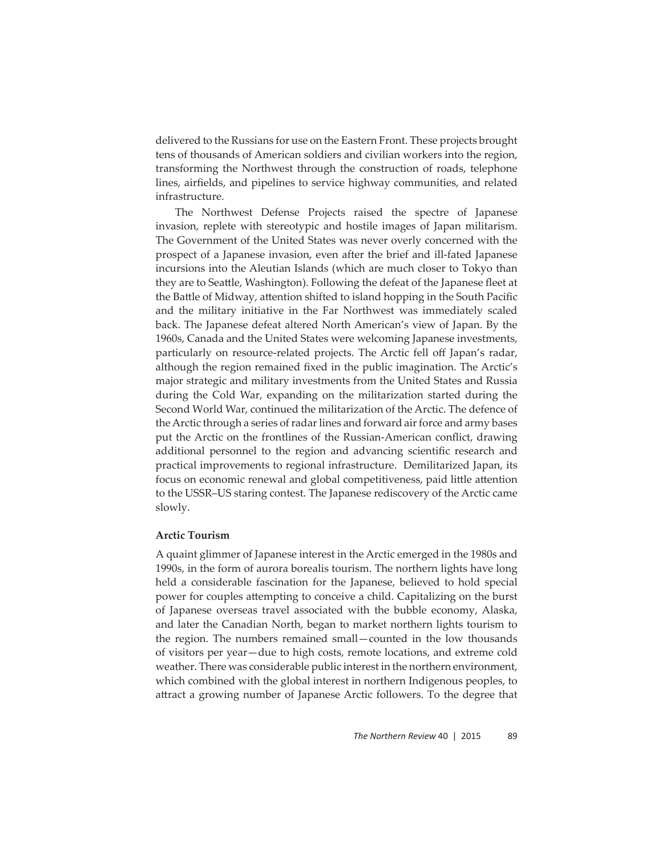delivered to the Russians for use on the Eastern Front. These projects brought tens of thousands of American soldiers and civilian workers into the region, transforming the Northwest through the construction of roads, telephone lines, airfields, and pipelines to service highway communities, and related infrastructure.

The Northwest Defense Projects raised the spectre of Japanese invasion, replete with stereotypic and hostile images of Japan militarism. The Government of the United States was never overly concerned with the prospect of a Japanese invasion, even after the brief and ill-fated Japanese incursions into the Aleutian Islands (which are much closer to Tokyo than they are to Seattle, Washington). Following the defeat of the Japanese fleet at the Battle of Midway, attention shifted to island hopping in the South Pacific and the military initiative in the Far Northwest was immediately scaled back. The Japanese defeat altered North American's view of Japan. By the 1960s, Canada and the United States were welcoming Japanese investments, particularly on resource-related projects. The Arctic fell off Japan's radar, although the region remained fixed in the public imagination. The Arctic's major strategic and military investments from the United States and Russia during the Cold War, expanding on the militarization started during the Second World War, continued the militarization of the Arctic. The defence of the Arctic through a series of radar lines and forward air force and army bases put the Arctic on the frontlines of the Russian-American conflict, drawing additional personnel to the region and advancing scientific research and practical improvements to regional infrastructure. Demilitarized Japan, its focus on economic renewal and global competitiveness, paid little attention to the USSR–US staring contest. The Japanese rediscovery of the Arctic came slowly.

# **Arctic Tourism**

A quaint glimmer of Japanese interest in the Arctic emerged in the 1980s and 1990s, in the form of aurora borealis tourism. The northern lights have long held a considerable fascination for the Japanese, believed to hold special power for couples attempting to conceive a child. Capitalizing on the burst of Japanese overseas travel associated with the bubble economy, Alaska, and later the Canadian North, began to market northern lights tourism to the region. The numbers remained small—counted in the low thousands of visitors per year—due to high costs, remote locations, and extreme cold weather. There was considerable public interest in the northern environment, which combined with the global interest in northern Indigenous peoples, to attract a growing number of Japanese Arctic followers. To the degree that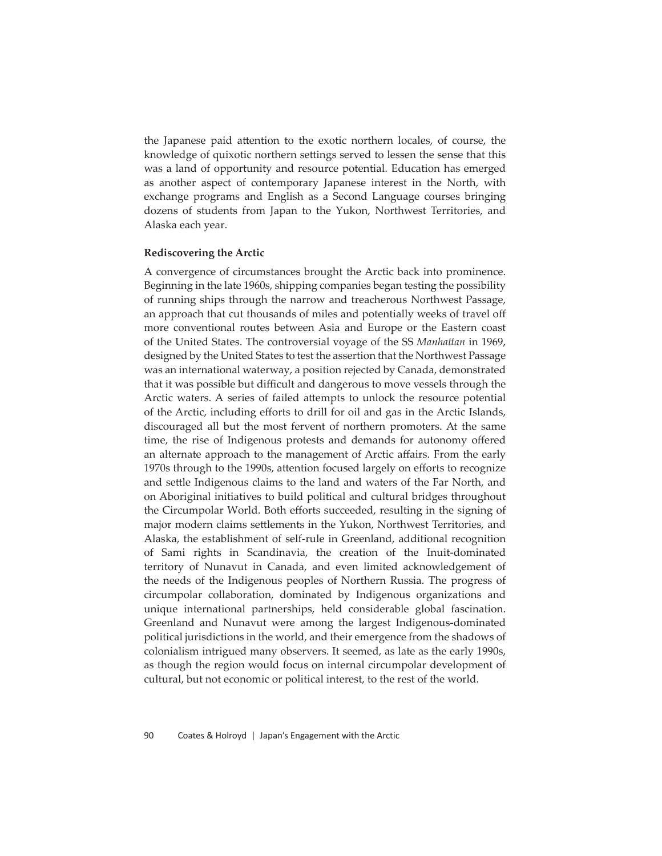the Japanese paid attention to the exotic northern locales, of course, the knowledge of quixotic northern settings served to lessen the sense that this was a land of opportunity and resource potential. Education has emerged as another aspect of contemporary Japanese interest in the North, with exchange programs and English as a Second Language courses bringing dozens of students from Japan to the Yukon, Northwest Territories, and Alaska each year.

#### **Rediscovering the Arctic**

A convergence of circumstances brought the Arctic back into prominence. Beginning in the late 1960s, shipping companies began testing the possibility of running ships through the narrow and treacherous Northwest Passage, an approach that cut thousands of miles and potentially weeks of travel off more conventional routes between Asia and Europe or the Eastern coast of the United States. The controversial voyage of the SS *Manhatt an* in 1969, designed by the United States to test the assertion that the Northwest Passage was an international waterway, a position rejected by Canada, demonstrated that it was possible but difficult and dangerous to move vessels through the Arctic waters. A series of failed attempts to unlock the resource potential of the Arctic, including efforts to drill for oil and gas in the Arctic Islands, discouraged all but the most fervent of northern promoters. At the same time, the rise of Indigenous protests and demands for autonomy offered an alternate approach to the management of Arctic affairs. From the early 1970s through to the 1990s, attention focused largely on efforts to recognize and settle Indigenous claims to the land and waters of the Far North, and on Aboriginal initiatives to build political and cultural bridges throughout the Circumpolar World. Both efforts succeeded, resulting in the signing of major modern claims settlements in the Yukon, Northwest Territories, and Alaska, the establishment of self-rule in Greenland, additional recognition of Sami rights in Scandinavia, the creation of the Inuit-dominated territory of Nunavut in Canada, and even limited acknowledgement of the needs of the Indigenous peoples of Northern Russia. The progress of circumpolar collaboration, dominated by Indigenous organizations and unique international partnerships, held considerable global fascination. Greenland and Nunavut were among the largest Indigenous-dominated political jurisdictions in the world, and their emergence from the shadows of colonialism intrigued many observers. It seemed, as late as the early 1990s, as though the region would focus on internal circumpolar development of cultural, but not economic or political interest, to the rest of the world.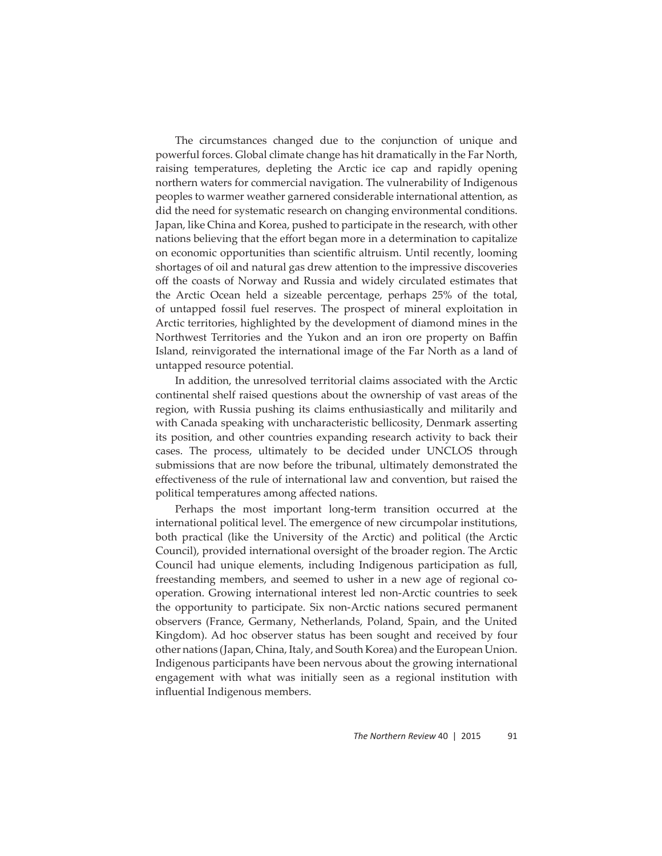The circumstances changed due to the conjunction of unique and powerful forces. Global climate change has hit dramatically in the Far North, raising temperatures, depleting the Arctic ice cap and rapidly opening northern waters for commercial navigation. The vulnerability of Indigenous peoples to warmer weather garnered considerable international attention, as did the need for systematic research on changing environmental conditions. Japan, like China and Korea, pushed to participate in the research, with other nations believing that the effort began more in a determination to capitalize on economic opportunities than scientific altruism. Until recently, looming shortages of oil and natural gas drew attention to the impressive discoveries off the coasts of Norway and Russia and widely circulated estimates that the Arctic Ocean held a sizeable percentage, perhaps 25% of the total, of untapped fossil fuel reserves. The prospect of mineral exploitation in Arctic territories, highlighted by the development of diamond mines in the Northwest Territories and the Yukon and an iron ore property on Baffin Island, reinvigorated the international image of the Far North as a land of untapped resource potential.

In addition, the unresolved territorial claims associated with the Arctic continental shelf raised questions about the ownership of vast areas of the region, with Russia pushing its claims enthusiastically and militarily and with Canada speaking with uncharacteristic bellicosity, Denmark asserting its position, and other countries expanding research activity to back their cases. The process, ultimately to be decided under UNCLOS through submissions that are now before the tribunal, ultimately demonstrated the effectiveness of the rule of international law and convention, but raised the political temperatures among affected nations.

Perhaps the most important long-term transition occurred at the international political level. The emergence of new circumpolar institutions, both practical (like the University of the Arctic) and political (the Arctic Council), provided international oversight of the broader region. The Arctic Council had unique elements, including Indigenous participation as full, freestanding members, and seemed to usher in a new age of regional cooperation. Growing international interest led non-Arctic countries to seek the opportunity to participate. Six non-Arctic nations secured permanent observers (France, Germany, Netherlands, Poland, Spain, and the United Kingdom). Ad hoc observer status has been sought and received by four other nations (Japan, China, Italy, and South Korea) and the European Union. Indigenous participants have been nervous about the growing international engagement with what was initially seen as a regional institution with influential Indigenous members.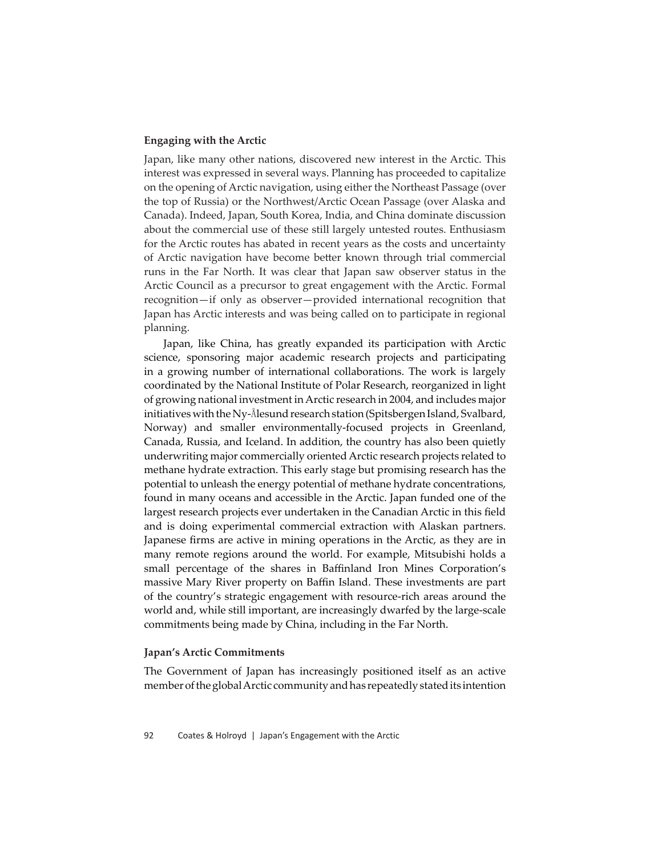# **Engaging with the Arctic**

Japan, like many other nations, discovered new interest in the Arctic. This interest was expressed in several ways. Planning has proceeded to capitalize on the opening of Arctic navigation, using either the Northeast Passage (over the top of Russia) or the Northwest/Arctic Ocean Passage (over Alaska and Canada). Indeed, Japan, South Korea, India, and China dominate discussion about the commercial use of these still largely untested routes. Enthusiasm for the Arctic routes has abated in recent years as the costs and uncertainty of Arctic navigation have become better known through trial commercial runs in the Far North. It was clear that Japan saw observer status in the Arctic Council as a precursor to great engagement with the Arctic. Formal recognition—if only as observer—provided international recognition that Japan has Arctic interests and was being called on to participate in regional planning.

Japan, like China, has greatly expanded its participation with Arctic science, sponsoring major academic research projects and participating in a growing number of international collaborations. The work is largely coordinated by the National Institute of Polar Research, reorganized in light of growing national investment in Arctic research in 2004, and includes major initiatives with the Ny-Ålesund research station (Spitsbergen Island, Svalbard, Norway) and smaller environmentally-focused projects in Greenland, Canada, Russia, and Iceland. In addition, the country has also been quietly underwriting major commercially oriented Arctic research projects related to methane hydrate extraction. This early stage but promising research has the potential to unleash the energy potential of methane hydrate concentrations, found in many oceans and accessible in the Arctic. Japan funded one of the largest research projects ever undertaken in the Canadian Arctic in this field and is doing experimental commercial extraction with Alaskan partners. Japanese firms are active in mining operations in the Arctic, as they are in many remote regions around the world. For example, Mitsubishi holds a small percentage of the shares in Baffinland Iron Mines Corporation's massive Mary River property on Baffin Island. These investments are part of the country's strategic engagement with resource-rich areas around the world and, while still important, are increasingly dwarfed by the large-scale commitments being made by China, including in the Far North.

# **Japan's Arctic Commitments**

The Government of Japan has increasingly positioned itself as an active member of the global Arctic community and has repeatedly stated its intention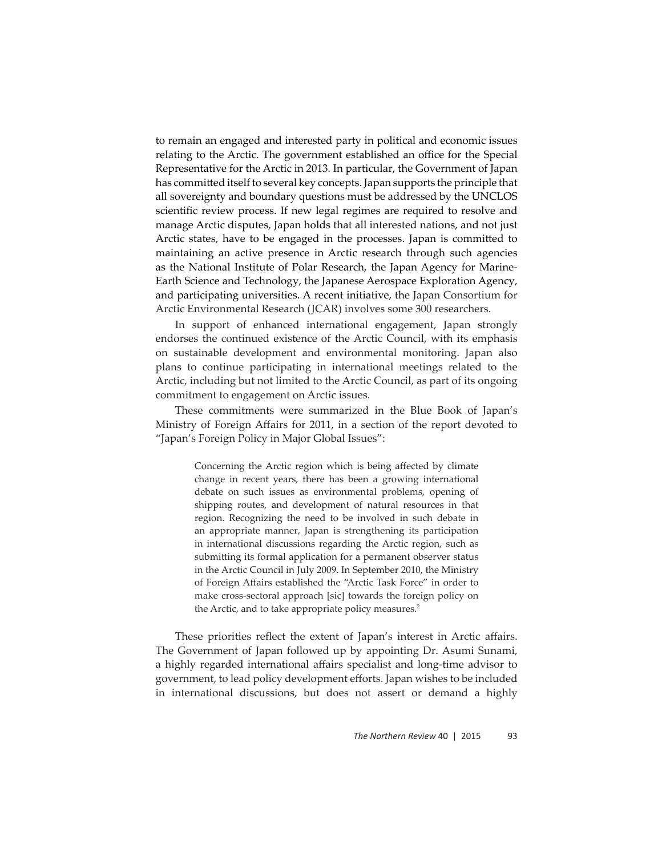to remain an engaged and interested party in political and economic issues relating to the Arctic. The government established an office for the Special Representative for the Arctic in 2013. In particular, the Government of Japan has committed itself to several key concepts. Japan supports the principle that all sovereignty and boundary questions must be addressed by the UNCLOS scientific review process. If new legal regimes are required to resolve and manage Arctic disputes, Japan holds that all interested nations, and not just Arctic states, have to be engaged in the processes. Japan is committed to maintaining an active presence in Arctic research through such agencies as the National Institute of Polar Research, the Japan Agency for Marine-Earth Science and Technology, the Japanese Aerospace Exploration Agency, and participating universities. A recent initiative, the Japan Consortium for Arctic Environmental Research (JCAR) involves some 300 researchers.

In support of enhanced international engagement, Japan strongly endorses the continued existence of the Arctic Council, with its emphasis on sustainable development and environmental monitoring. Japan also plans to continue participating in international meetings related to the Arctic, including but not limited to the Arctic Council, as part of its ongoing commitment to engagement on Arctic issues.

These commitments were summarized in the Blue Book of Japan's Ministry of Foreign Affairs for 2011, in a section of the report devoted to "Japan's Foreign Policy in Major Global Issues":

> Concerning the Arctic region which is being affected by climate change in recent years, there has been a growing international debate on such issues as environmental problems, opening of shipping routes, and development of natural resources in that region. Recognizing the need to be involved in such debate in an appropriate manner, Japan is strengthening its participation in international discussions regarding the Arctic region, such as submitting its formal application for a permanent observer status in the Arctic Council in July 2009. In September 2010, the Ministry of Foreign Affairs established the "Arctic Task Force" in order to make cross-sectoral approach [sic] towards the foreign policy on the Arctic, and to take appropriate policy measures.<sup>2</sup>

These priorities reflect the extent of Japan's interest in Arctic affairs. The Government of Japan followed up by appointing Dr. Asumi Sunami, a highly regarded international affairs specialist and long-time advisor to government, to lead policy development efforts. Japan wishes to be included in international discussions, but does not assert or demand a highly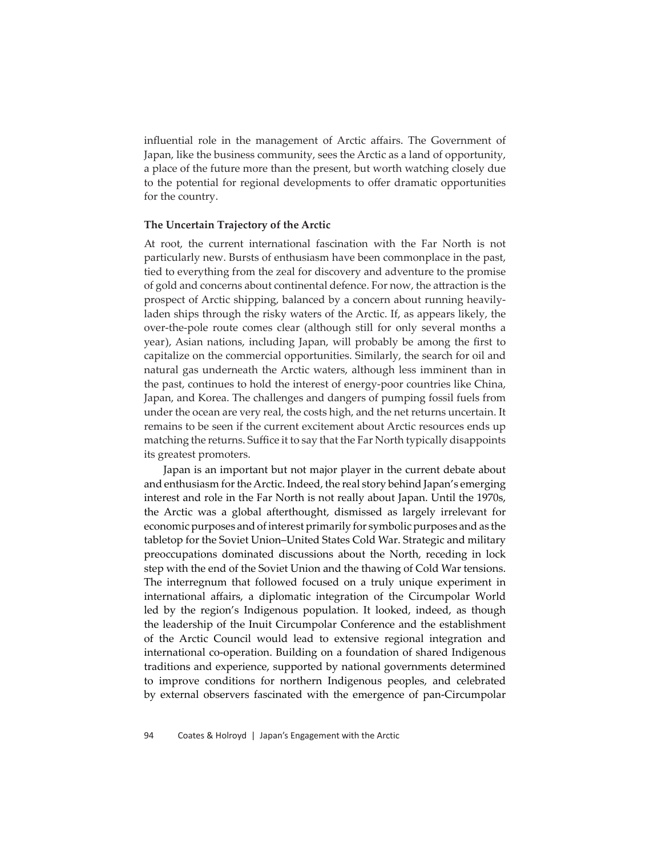influential role in the management of Arctic affairs. The Government of Japan, like the business community, sees the Arctic as a land of opportunity, a place of the future more than the present, but worth watching closely due to the potential for regional developments to offer dramatic opportunities for the country.

#### **The Uncertain Trajectory of the Arctic**

At root, the current international fascination with the Far North is not particularly new. Bursts of enthusiasm have been commonplace in the past, tied to everything from the zeal for discovery and adventure to the promise of gold and concerns about continental defence. For now, the attraction is the prospect of Arctic shipping, balanced by a concern about running heavilyladen ships through the risky waters of the Arctic. If, as appears likely, the over-the-pole route comes clear (although still for only several months a year), Asian nations, including Japan, will probably be among the first to capitalize on the commercial opportunities. Similarly, the search for oil and natural gas underneath the Arctic waters, although less imminent than in the past, continues to hold the interest of energy-poor countries like China, Japan, and Korea. The challenges and dangers of pumping fossil fuels from under the ocean are very real, the costs high, and the net returns uncertain. It remains to be seen if the current excitement about Arctic resources ends up matching the returns. Suffice it to say that the Far North typically disappoints its greatest promoters.

Japan is an important but not major player in the current debate about and enthusiasm for the Arctic. Indeed, the real story behind Japan's emerging interest and role in the Far North is not really about Japan. Until the 1970s, the Arctic was a global afterthought, dismissed as largely irrelevant for economic purposes and of interest primarily for symbolic purposes and as the tabletop for the Soviet Union–United States Cold War. Strategic and military preoccupations dominated discussions about the North, receding in lock step with the end of the Soviet Union and the thawing of Cold War tensions. The interregnum that followed focused on a truly unique experiment in international affairs, a diplomatic integration of the Circumpolar World led by the region's Indigenous population. It looked, indeed, as though the leadership of the Inuit Circumpolar Conference and the establishment of the Arctic Council would lead to extensive regional integration and international co-operation. Building on a foundation of shared Indigenous traditions and experience, supported by national governments determined to improve conditions for northern Indigenous peoples, and celebrated by external observers fascinated with the emergence of pan-Circumpolar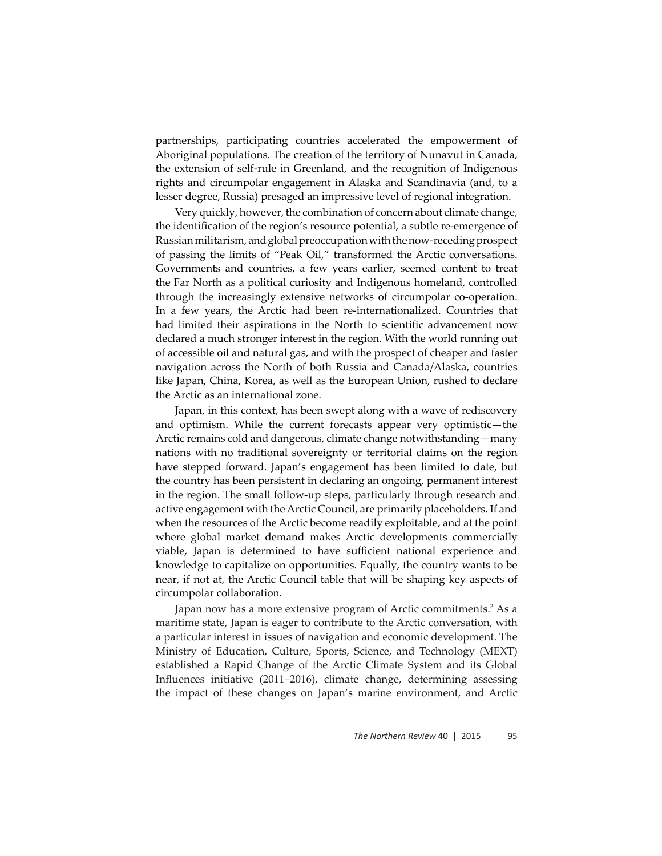partnerships, participating countries accelerated the empowerment of Aboriginal populations. The creation of the territory of Nunavut in Canada, the extension of self-rule in Greenland, and the recognition of Indigenous rights and circumpolar engagement in Alaska and Scandinavia (and, to a lesser degree, Russia) presaged an impressive level of regional integration.

Very quickly, however, the combination of concern about climate change, the identification of the region's resource potential, a subtle re-emergence of Russian militarism, and global preoccupation with the now-receding prospect of passing the limits of "Peak Oil," transformed the Arctic conversations. Governments and countries, a few years earlier, seemed content to treat the Far North as a political curiosity and Indigenous homeland, controlled through the increasingly extensive networks of circumpolar co-operation. In a few years, the Arctic had been re-internationalized. Countries that had limited their aspirations in the North to scientific advancement now declared a much stronger interest in the region. With the world running out of accessible oil and natural gas, and with the prospect of cheaper and faster navigation across the North of both Russia and Canada/Alaska, countries like Japan, China, Korea, as well as the European Union, rushed to declare the Arctic as an international zone.

Japan, in this context, has been swept along with a wave of rediscovery and optimism. While the current forecasts appear very optimistic—the Arctic remains cold and dangerous, climate change notwithstanding—many nations with no traditional sovereignty or territorial claims on the region have stepped forward. Japan's engagement has been limited to date, but the country has been persistent in declaring an ongoing, permanent interest in the region. The small follow-up steps, particularly through research and active engagement with the Arctic Council, are primarily placeholders. If and when the resources of the Arctic become readily exploitable, and at the point where global market demand makes Arctic developments commercially viable, Japan is determined to have sufficient national experience and knowledge to capitalize on opportunities. Equally, the country wants to be near, if not at, the Arctic Council table that will be shaping key aspects of circumpolar collaboration.

Japan now has a more extensive program of Arctic commitments.<sup>3</sup> As a maritime state, Japan is eager to contribute to the Arctic conversation, with a particular interest in issues of navigation and economic development. The Ministry of Education, Culture, Sports, Science, and Technology (MEXT) established a Rapid Change of the Arctic Climate System and its Global Influences initiative (2011–2016), climate change, determining assessing the impact of these changes on Japan's marine environment, and Arctic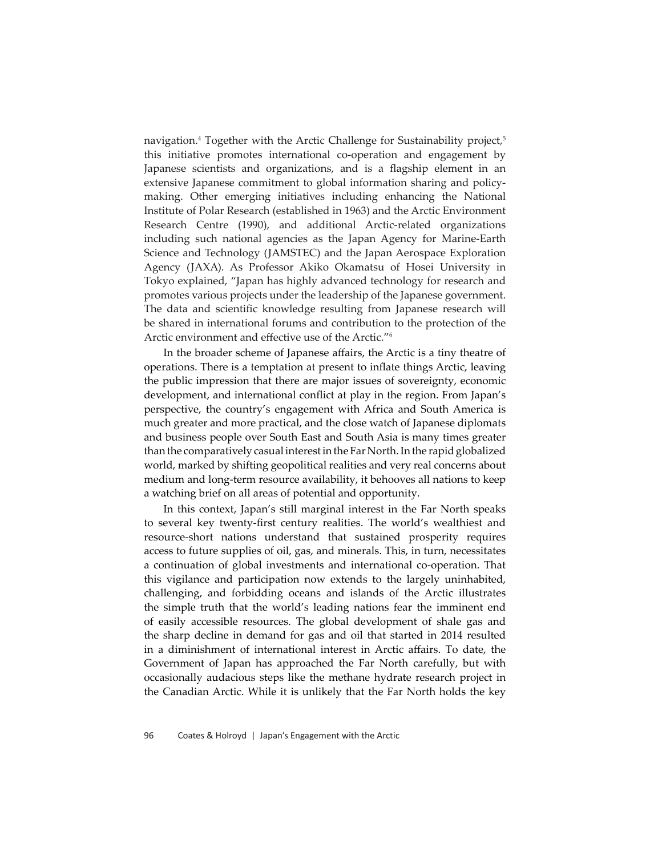navigation.<sup>4</sup> Together with the Arctic Challenge for Sustainability project,<sup>5</sup> this initiative promotes international co-operation and engagement by Japanese scientists and organizations, and is a flagship element in an extensive Japanese commitment to global information sharing and policymaking. Other emerging initiatives including enhancing the National Institute of Polar Research (established in 1963) and the Arctic Environment Research Centre (1990), and additional Arctic-related organizations including such national agencies as the Japan Agency for Marine-Earth Science and Technology (JAMSTEC) and the Japan Aerospace Exploration Agency (JAXA). As Professor Akiko Okamatsu of Hosei University in Tokyo explained, "Japan has highly advanced technology for research and promotes various projects under the leadership of the Japanese government. The data and scientific knowledge resulting from Japanese research will be shared in international forums and contribution to the protection of the Arctic environment and effective use of the Arctic."<sup>6</sup>

In the broader scheme of Japanese affairs, the Arctic is a tiny theatre of operations. There is a temptation at present to inflate things Arctic, leaving the public impression that there are major issues of sovereignty, economic development, and international conflict at play in the region. From Japan's perspective, the country's engagement with Africa and South America is much greater and more practical, and the close watch of Japanese diplomats and business people over South East and South Asia is many times greater than the comparatively casual interest in the Far North. In the rapid globalized world, marked by shifting geopolitical realities and very real concerns about medium and long-term resource availability, it behooves all nations to keep a watching brief on all areas of potential and opportunity.

In this context, Japan's still marginal interest in the Far North speaks to several key twenty-first century realities. The world's wealthiest and resource-short nations understand that sustained prosperity requires access to future supplies of oil, gas, and minerals. This, in turn, necessitates a continuation of global investments and international co-operation. That this vigilance and participation now extends to the largely uninhabited, challenging, and forbidding oceans and islands of the Arctic illustrates the simple truth that the world's leading nations fear the imminent end of easily accessible resources. The global development of shale gas and the sharp decline in demand for gas and oil that started in 2014 resulted in a diminishment of international interest in Arctic affairs. To date, the Government of Japan has approached the Far North carefully, but with occasionally audacious steps like the methane hydrate research project in the Canadian Arctic. While it is unlikely that the Far North holds the key